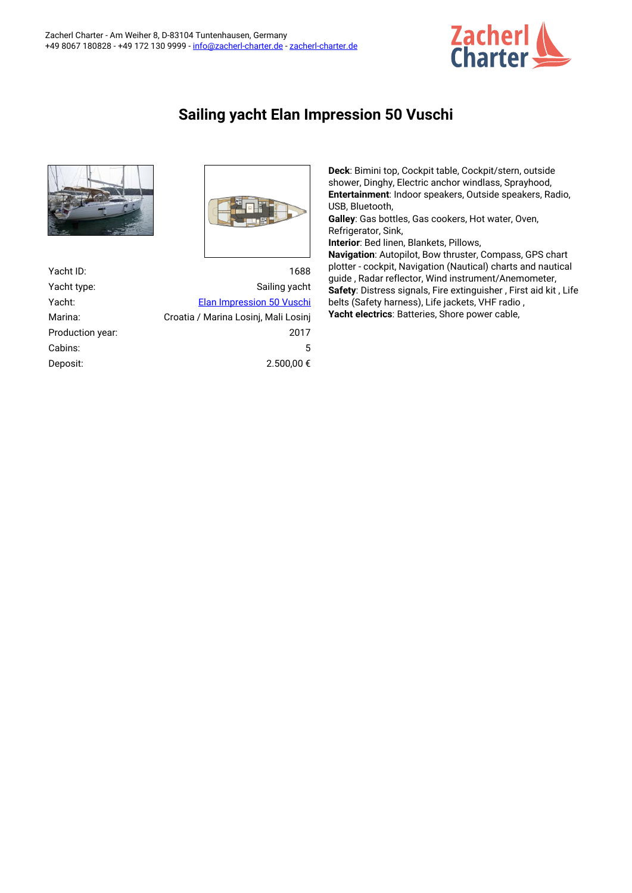

## **Sailing yacht Elan Impression 50 Vuschi**



| Yacht ID:        | 1688                                 |  |
|------------------|--------------------------------------|--|
| Yacht type:      | Sailing yacht                        |  |
| Yacht:           | <b>Elan Impression 50 Vuschi</b>     |  |
| Marina:          | Croatia / Marina Losini, Mali Losini |  |
| Production year: | 2017                                 |  |
| Cabins:          | 5                                    |  |
| Deposit:         | 2.500,00 €                           |  |

**Deck**: Bimini top, Cockpit table, Cockpit/stern, outside shower, Dinghy, Electric anchor windlass, Sprayhood, **Entertainment**: Indoor speakers, Outside speakers, Radio, USB, Bluetooth,

**Galley**: Gas bottles, Gas cookers, Hot water, Oven, Refrigerator, Sink,

**Interior**: Bed linen, Blankets, Pillows,

**Navigation**: Autopilot, Bow thruster, Compass, GPS chart plotter - cockpit, Navigation (Nautical) charts and nautical guide , Radar reflector, Wind instrument/Anemometer, **Safety**: Distress signals, Fire extinguisher , First aid kit , Life belts (Safety harness), Life jackets, VHF radio , **Yacht electrics**: Batteries, Shore power cable,